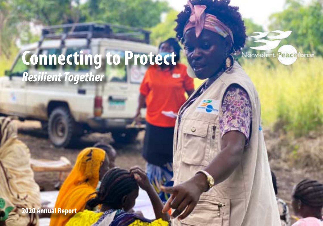# **Connecting to Protect** *Resilient Together*

**Nonviolent** Peace force

**2020 Annual Report**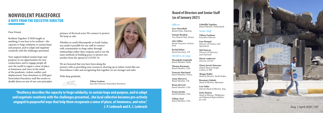primacy of the local actor. We connect to protect. We keep us safe.

Whether in south Minneapolis or South Sudan, you made it possible for our staff to connect with communities to forge safety through relationships rather than weapons and to use the same methods of building peace to protect one another from the spread of COVID-19.



We are honored that you have been along the journey with us providing your resources, showing up at online events like our Nonviolence Cafés and recognizing that together we are stronger and safer.

With deep gratitude,



Iraq | April 2020 | NP

**"Resiliency describes the capacity to forge solidarity, to sustain hope and purpose, and to adapt and negotiate creatively with the challenges presented...the local collective becomes pro-actively engaged in purposeful ways that help them recuperate a sense of place, at-homeness, and voice." J. P. Lederach and A. J. Lederach**

### **NONVIOLENT PEACEFORCE A NOTE FROM THE EXECUTIVE DIRECTOR**

#### Dear Friend,

Resilient Together. If 2020 taught us anything, it was how to be resilient—the capacity to forge solidarity, to sustain hope and purpose, and to adapt and negotiate creatively with the challenges presented.

Your support helped sustain hope and purpose, to see opportunities for new connections, and to engage people all over the world to regain a sense of place, at-homeness, and voice in the midst of the pandemic, violent conflict, and displacement. Your donations in 2020 gave Nonviolent Peaceforce staff the resolve to double down on one of our core principles: **Tiffany Easthom**

Executive Director, Nonviolent Peaceforce

### **Board of Directors and Senior Staff (as of January 2021)**

#### *Officers*

**Lucy Nusseibeh** *Board Chair, Palestine*

**Fatuma Ibrahim** *Vice Board Chair, Kenya*

**Alex Gillen**  *Board Treasurer, Switzer land*

**Rachel Julian** *Board Secretary, UK*

*Members at Large*

**Meenakshi Gopinath** *Board Member, India*

**Thomas Kurmann**  *Board Member, USA*

**Francois Marchand**  *Board Member, France*

**Anna Matveeva**  *Board Member, UK*

**Brian McLeod** *Board Member, USA* 

**Deepa Sureka** *Board Member, USA*

**Tiffany Tool**  *Board Member, USA* **Gabriëlla Vogelaar** *Board Member, Netherlands* 

*Senior Staff*

**Tiffany Easthom** *Executive Director*

**Line Hempel** *Director of Finance and Operations*

**Mel Duncan** *Director of Advocacy and Outreach*

**Marna Anderson** *Director of USA*

**Gloria Jarrett Yatassaye** *Global Head of People, Culture & HR*

**Thiago Wolfer** *Head of Mission, South Sudan*

**Rosemary Kabaki** *Head of Mission, Myanmar*

**Lisa Fuller** *Interim Head of Mission, Iraq*

**Delsy Ronnie** *Head of Mission, Philippines and Regional Representative for Asia*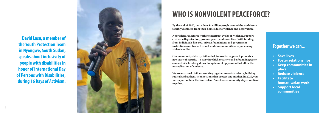# **WHO IS NONVIOLENT PEACEFORCE?**

**David Lasu, a member of the Youth Protection Team in Nyongwe, South Sudan, speaks about inclusivity of people with disabilities in honor of International Day of Persons with Disabilities, during 16 Days of Activism.**



- **• Save lives**
- **• Foster relationships**
- **• Keep communities in place**
- **• Reduce violence**
- **• Facilitate humanitarian work**
- **• Support local communities**

**By the end of 2020, more than 84 million people around the world were forcibly displaced from their homes due to violence and deprivation.**

**Nonviolent Peaceforce works to interrupt cycles of violence, support civilian self-protection, promote peace, and saves lives. With funding from individuals like you, private foundations and government institutions, our teams live and work in communities, experiencing violent conflict.** 

**Our community-driven, civilian-led, innovative approach presents a new story of security—a story in which security can be found in greater connectivity, breaking down the systems of oppression that allow the normalization of violence.**

**We are unarmed civilians working together to resist violence, building radical and authentic connections that protect one another. In 2020, you were a part of how the Nonviolent Peaceforce community stayed resilient together.**

### **Together we can...**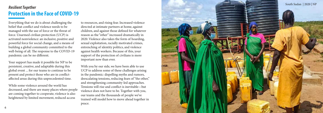# **Protection in the Face of COVID-19**

to resources, and rising fear. Increased violence directed at intimate partners at home, against children, and against those defined for whatever reason as the "other" increased dramatically in 2020. Violence also takes the form of hoarding, sexual exploitation, racially motivated crimes, entrenching of identity politics, and violence against health workers. Because of this, your support of the protection of civilians is more important now than ever.

With you by our side, we have been able to use UCP to address some of these challenges arising in the pandemic: dispelling myths and rumors, deescalating tensions, reducing fears of "the other," and strengthening community-led approaches. Tensions will rise and conflict is inevitable—but violence does not have to be. Together with you, our teams and the thousands of people we've trained will model how to move ahead together in peace.

Everything that we do is about challenging the belief that conflict and violence needs to be managed with the use of force or the threat of force. Unarmed civilian protection (UCP) is activated nonviolence: an inclusive, positive and powerful force for social change, and a means of building a global community committed to the well-being of all. The response to the COVID-19 pandemic can be no different.

Your support has made it possible for NP to be persistent, creative, and adaptable during this global event ... for our teams to continue to be present and protect those who are in conflictaffected areas during this unprecedented time.

While some violence around the world has decreased, and there are many places where people are coming together to cooperate, violence is also heightened by limited movement, reduced access

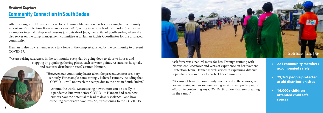

# **Community Connection in South Sudan** *Resilient Together*

After training with Nonviolent Peaceforce, Hannan Mahamoon has been serving her community as a Women's Protection Team member since 2015, acting in various leadership roles. She lives in a camp for internally displaced persons just outside of Juba, the capital of South Sudan, where she also serves on the camp management committee as a Human Rights Coordinator for the displaced community.

Hannan is also now a member of a task force in the camp established by the community to prevent COVID-19.

"We are raising awareness in the community every day by going door-to-door to houses and stopping by popular gathering places, such as water points, restaurants, hospitals, and resource distribution sites," assured Hannan.

> "However, our community hasn't taken the preventive measures very seriously. For example, some strongly believed rumors, including that COVID-19 will not reach the camps due to the heat in South Sudan."

Around the world, we are seeing how rumors can be deadly in a pandemic. But even before COVID-19, Hannan had seen how rumors have the potential to lead to deadly violence—and how dispelling rumors can save lives. So, transitioning to the COVID-19 **• 221 community members accompanied safely**

- **• 29,269 people protected at aid distribution sites**
- **• 16,000+ children attended child safe spaces**

task force was a natural move for her. Through training with Nonviolent Peaceforce and years of experience on her Women's Protection Team, Hannan is well-versed in explaining difficult topics to others in order to protect her community.

"Because of how the community has reacted to the rumors, we are increasing our awareness-raising sessions and putting more effort into controlling any COVID-19 rumors that are spreading in the camps."

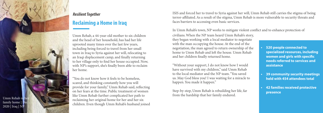## *Resilient Together*

Umm Rehab, a 44-year-old mother to six children and the head of her household, has had her life uprooted many times over the last few years, including being forced to travel from her small town in Iraq to Syria against her will, relocating to an Iraqi displacement camp, and finally returning to her village only to find her house occupied. Now, with NP's support, she's finally been able to reclaim her home.

"You do not know how it feels to be homeless, scared, and thinking constantly how you will provide for your family," Umm Rehab said, reflecting on her fears at the time. Public treatment of women like Umm Rehab further complicated her path to from the hardship that her family endured.<br>
The Umm Rehab in her setaining her original home for her and her six reclaiming her original home for her and her six children. Even though Umm Rehab's husband joined

# **Reclaiming a Home in Iraq**

ISIS and forced her to travel to Syria against her will, Umm Rehab still carries the stigma of being terror-affiliated. As a result of the stigma, Umm Rehab is more vulnerable to security threats and faces barriers to accessing even basic services.



- **• 520 people connected to specialized resources, including women and girls with specific needs referred to services and assistance**
- **• 39 community security meetings held with 454 attendees total**
- **• 42 families received protective presence**

In Umm Rehab's town, NP works to mitigate violent conflict and to enhance protection of civilians. When the NP team heard Umm Rehab's story, they began working with a local mediator to negotiate with the man occupying the house. At the end of the negotiation, the man agreed to return ownership of the home to Umm Rehab and left the house. Umm Rehab and her children finally returned home.

"Without your support, I do not know how I would have survived with my children," said Umm Rehab to the local mediator and the NP team. "You saved us. May God bless you! I was waiting for a miracle to happen. You made it happen."

Step-by-step, Umm Rehab is rebuilding her life, far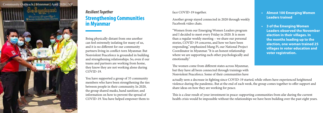## *Resilient Together*  **Strengthening Communities in Myanmar**

Being physically distant from one another can feel extremely isolating for many of us, and it is no different for our community partners living in conflict-torn Myanmar. But Nonviolent Peaceforce is grounded in building and strengthening relationships. So, even if our teams and partners are working from home, they know they are not working alone during COVID-19.

You have supported a group of 35 community members who have been strengthening the ties between people in their community. In 2020, the group shared masks, hand sanitizer, and information on how to prevent the spread of COVID-19. You have helped empower them to

### face COVID-19 together.

Another group stayed connected in 2020 through weekly Facebook video chats.

"Women from our Emerging Women Leaders program and I decided to meet every Friday in 2020. It is more than a regular weekly meeting – we share our personal stories, COVID-19 concerns, and how we have been responding," emphasized Mang Pi, our National Project Coordinator in Myanmar. "It is an honest relationship where we are supporting each other psychologically and emotionally."

The women come from different states across Myanmar, but they have all been connected through trainings with Nonviolent Peaceforce. Some of their communities have

- **• Almost 100 Emerging Women Leaders trained**
- **• 3 of the Emerging Women Leaders observed the November election in their villages. In the months leading up to the election, one woman trained 25 villages in voter education and voter registration.**

actually seen a decrease in fighting since COVID-19 started, while others have experienced heightened violence during the pandemic. But at the end of each week, the group comes together to offer support and share ideas on how they are working for peace.

This is a clear result of your investment in peace: supporting communities from afar during the current health crisis would be impossible without the relationships we have been building over the past eight years.

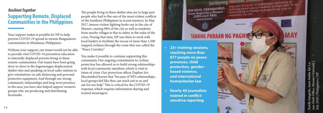Your support makes it possible for NP to help prevent COVID-19 spread in remote Bangsamoro communities in Mindanao, Philippines.

## *Resilient Together*  **Supporting Remote, Displaced Communities in the Philippines**

Without your support, our teams would not be able to provide vital COVID-19 prevention education to internally displaced persons living in these remote communities. Our teams have been going door-to-door in the Sagonsongan displacement shelter sites and speaking on local radio stations to give orientations on safe distancing and personal protective equipment. And through our strong community relationships and long-term presence in the area, you have also helped support women's groups who are producing and distributing facemasks.

nao Field Office, Marawi Outreach | Xarifa Sanguila, team leader for La-Outreach for La ader July 2020 | Philippines | NPsanguila, team l<br>ld Office, Mara Philippin Field<br>2020 **Till** nao<br>July

The people living in these shelter sites are in large part people who had to flee one of the most violent conflicts of the Southern Philippines in recent memory. In May 2017, intense violent fighting broke out in the city of Marawi, causing 98% of the city as well as residents from nearby villages to flee to safety in the wake of the crisis. During that time, NP was there to work with local leaders to facilitate the rescue of more than 1,500 trapped civilians through the route that was called the "Peace Corridor."

You make it possible to continue supporting this community. Our ongoing commitment to civilian protection has allowed us to build strong relationships with local community members, which is vital in times of crisis. Our protection officer Daphne Iris Macatimbol knows that "because of NP's relationships, local groups feel like they can reach out to us and ask for our help." This is critical for the COVID-19 response, which requires information sharing and trusted messengers.

2019 NOVEL CORONAVIRUS **2019 NOVEL CONCORDISTOR** (2019-nCoV ARD) HEALTH ADVISORY

Ang wasto at regular na paghuhugas ng kamay ay<br>Ang wasto at regular na paghuhugas ng kamas sakit. Ito Ang wasto at regular na paghuhugas ng Karnoy Lyto ay<br>mabisang paraan upang makaiwas sa mga sakit. Ito ay Ang wasto arean upang makaiwas sa mga sanara<br>makatutulong sa pagpigil ng pagkalat ng virus na<br>makatutulong sakit. nagdudulot ng sakit.

- **• 23+ training sessions, reaching more than 877 people on peace processes, child protection, genderbased violence, and international humanitarian law**
- **• Nearly 40 journalists trained in conflictsensitive reporting**

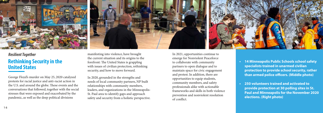

George Floyd's murder on May 25, 2020 catalyzed protests for racial justice and anti-racist action in the U.S. and around the globe. These events and the conversations that followed, together with the social stresses that were exposed and exacerbated by the pandemic, as well as the deep political divisions

manifesting into violence, have brought the current situation and its origins to the forefront: The United States is grappling with issues of civilian protection, rethinking security, and how to move forward.

In 2020, grounded in the strengths and needs of local community partners, NP built relationships with community members, leaders, and organizations in the Minneapolis-St. Paul area to identify gaps and approach safety and security from a holistic perspective.



## *Resilient Together* **Rethinking Security in the United States**

In 2021, opportunities continue to emerge for Nonviolent Peaceforce to collaborate with community partners to open dialogue and to maintain space for civic engagement and protest. In addition, there are opportunities to equip students, community members, and safety professionals alike with actionable frameworks and skills in both violence prevention and nonviolent resolution of conflict.

- 
- 

**• 14 Minneapolis Public Schools school safety specialists trained in unarmed civilian protection to provide school security, rather than armed police officers. (Middle photo)**

**• 250 volunteers trained and activated to provide protection at 30 polling sites in St. Paul and Minneapolis for the November 2020 elections. (Right photo)**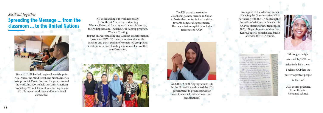And, the FY2021 Appropriations Bill for the United States directed the U.S. government "to provide funds for use of unarmed civilian protection organizations."

The Art - There showed win pour dubits, quiten the hot. Ant must Frankreatt

In support of the African Union's Silencing the Guns initiative, NP is partnering with the UN to strengthen the skills of African youth leaders in UCP by offering online training. In 2020, 120 youth peacebuilders from Kenya, Nigeria, Somalia, and Sudan attended the UCP course.





"Although it might take a while, UCP can effectively help ... yes, I believe UCP has the power to protect people in Darfur."

UCP course graduate, Reem Ibrahim Mohamed Ahmed

Since 2017, NP has held regional workshops in Asia, Africa, the Middle East, and North America to improve *UCP good practices* for groups around the world. In 2020, we held our Latin American workshop. We look forward to reporting on our 2021 European workshop and International conference!

The UN passed a resolution establishing a new mission in Sudan to "assist the country in its transition towards democratic governance." The new mission explicitly includes references to UCP!



## *Resilient Together* **Spreading the Message ... from the classroom ... to the United Nations**



NP is expanding our work regionally: In Southeast Asia, we are extending Women, Peace and Security work across Myanmar, the Philippines, and Thailand. Our flagship program, Women Creating Impact on Peacebuilding and Conflict Transformation (Women-IMPACT) mainly aims to enhance the capacity and participation of women-led groups and institutions in peacebuilding and nonviolent conflict transformation.

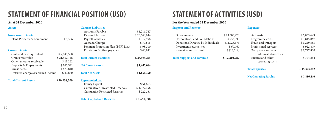## **Support and Revenue** Governments \$13,306,270 Corporations and Foundations \$ 933,098 Donations Directed by Individuals \$2,926,673 Investment returns, net  $$60,760$ Present value discount \$ (16,519) **Total Support and Revenue \$ 17,210,282 Expenses Total Ex Net Ope**

| <b>Assets</b>                     |              | <b>Current Liabilities</b>   |
|-----------------------------------|--------------|------------------------------|
|                                   |              | Accounts Payable             |
| <b>Non-current Assets</b>         |              | Deferred Income              |
| Plant, Property & Equipment       | \$8,306      | Payroll liabilities          |
|                                   |              | <b>Accrued Charges</b>       |
|                                   |              | Payment Protecti             |
| <b>Current Assets</b>             |              | Provisions & othe            |
| Cash and cash equivalent          | \$7,848,588  |                              |
| Grants receivable                 | \$21,557,148 | <b>Total Current Liabili</b> |
| Other amounts receivable          | \$11,262     |                              |
| Deposits & Prepayments            | \$100,591    | <b>Net Current Assets</b>    |
| Investments                       | \$670,840    |                              |
| Deferred charges & accrued income | \$49,880     | <b>Total Net Assets</b>      |
|                                   |              |                              |

#### **Total Current Assets \$ 30,238,309**

| Staff costs                | \$6,833,649  |
|----------------------------|--------------|
| Programme costs            | \$3,845,067  |
| Travel and transport       | \$1,249,553  |
| Professional services      | \$922,879    |
| Occupancy and other        | \$1,747,830  |
| administrative costs       |              |
| Finance and other          | \$724,864    |
| operating costs            |              |
| tal Expenses               | \$15,323,842 |
| <b>t Operating Surplus</b> | \$1,886,440  |
|                            |              |

| Current Liabilities                     |              |
|-----------------------------------------|--------------|
| <b>Accounts Payable</b>                 | \$1,216,747  |
| Deferred Income                         | \$26,648,044 |
| Payroll liabilities                     | \$512,998    |
| <b>Accrued Charges</b>                  | \$77,895     |
| Payment Protection Plan (PPP) Loan      | \$98,700     |
| Provisions & other payables             | \$40,841     |
| <b>Total Current Liabilities</b>        | \$28,595,225 |
| <b>Net Current Assets</b>               | \$1,643,084  |
| <b>Total Net Assets</b>                 | \$1,651,390  |
| <b>Represented by:</b>                  |              |
| <b>Equity Capital</b>                   | \$51,663     |
| <b>Cumulative Unrestricted Reserves</b> | \$1,377,496  |
| <b>Cumulative Restricted Reserves</b>   | \$222,231    |
| <b>Total Capital and Reserves</b>       | \$1,651,390  |

# **STATEMENT OF FINANCIAL POSITION (USD)**

#### **As at 31 December 2020**

# **STATEMENT OF ACTIVITIES (USD)**

### **For the Year ended 31 December 2020**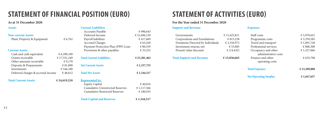# **STATEMENT OF FINANCIAL POSITION (EURO) STATEMENT OF ACTIVITIES (EURO)**

### **As at 31 December 2020 For the Year ended 31 December 2020**

# **Support and Revenue** Governments  $\epsilon$  11,625,811 Corporations and Foundations  $6815,228$ Donations Directed by Individuals  $\epsilon$  2,556,973 Investment returns, net  $\epsilon$  53,085 Present value discount  $\epsilon$  (14,432) **Total Support and Revenue € 15,036,665 Expenses Total Ex Net Ope**

| <b>Assets</b>                     |              | <b>Current Liabilities</b>   |
|-----------------------------------|--------------|------------------------------|
|                                   |              | <b>Accounts Payable</b>      |
| <b>Non-current Assets</b>         |              | Deferred Income              |
| Plant, Property & Equipment       | € 6,762      | Payroll liabilities          |
|                                   |              | <b>Accrued Charges</b>       |
|                                   |              | Payment Protecti             |
| <b>Current Assets</b>             |              | Provisions & oth             |
| Cash and cash equivalent          | € 6,390,109  |                              |
| Grants receivable                 | € 17,551,249 | <b>Total Current Liabili</b> |
| Other amounts receivable          | € 9,170      |                              |
| Deposits & Prepayments            | € 81,898     | <b>Net Current Assets</b>    |
| Investments                       | € 546,180    |                              |
| Deferred charges & accrued income | €40,612      | <b>Total Net Assets</b>      |
| <b>Total Current Assets</b>       | € 24,619,218 | <b>Represented by:</b>       |

## able  $\epsilon$  990,643  $\epsilon$  21,696,120 ties  $\epsilon$  417,669 rges  $\epsilon$  63,420 Pagment Plan (PPP) Loan  $\epsilon$  80,359 other payables  $\epsilon$  33,252  $\epsilon$  23,281,463 **example 31,337,755 Total Net Assets € 1,344,517 Represented by:** Equity Capital  $\epsilon$  46,016 Cumulative Unrestricted Reserves  $\epsilon$  1,117,566 Cumulative Restricted Reserves  $\epsilon$  180,935

### **Total Capital and Reserves € 1,344,517**

| <b>t Operating Surplus</b> | € 1,647,657  |
|----------------------------|--------------|
| tal Expenses               | € 13,389,008 |
| operating costs            |              |
| Finance and other          | € 633,708    |
| administrative costs       |              |
| Occupancy and other        | € 1,527,066  |
| Professional services      | € 806,300    |
| Travel and transport       | €1,091,728   |
| Programme costs            | € 3,359,585  |
| Staff costs                | € 5,970,621  |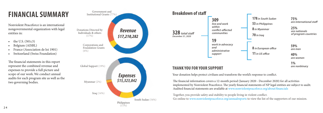Your donation helps protect civilians and transform the world's response to conflict.

### **THANK YOU FOR YOUR SUPPORT**

The financial information covers a 12-month period (January 2020 - December 2020) for all activities implemented by Nonviolent Peaceforce. The yearly financial statements of NP legal entities are subject to audit. Audited financial statements are available at www.nonviolentpeaceforce.org/about/financials

Together, you provide safety and stability to people living in violent conflict. Go online to www.nonviolentpeaceforce.org/annualreports to view the list of the supporters of our mission.

**75%** *are international staff*

**25%** *are nationals of program countries*

**178** *in South Sudan* **53** *in Philippines* **8** *in Myanmar*



**8** *in European office* **11** *in US office*

**59%** *are men*

**40%** *are women*

# **FINANCIAL SUMMARY**

Nonviolent Peaceforce is an international nongovernmental organization with legal entities in:

- the U.S. (501c3)
- Belgium (AISBL)
- France (Association de loi 1901)
- Switzerland (Swiss Foundation)

The financial statements in this report represent the combined revenue and expenses to provide a full picture and scope of our work. We conduct annual audits for each program site as well as the two governing bodies.



**1%** *are nonbinary*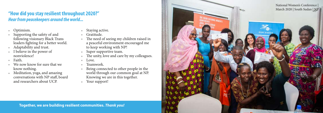- 
- 2 6 by the safety of and<br>
3 supporting the safety of and<br>
2 6 Gratitude.<br>
2 6 Gratitude.<br>
2 7 The need of seeing my c<br>
2 7 The mediator safety of a better world.<br>
3 a peaceful environment<br>
4 a peaceful environment<br>
2 a pea following visionary Black Trans leaders fighting for a better world.
	- Adaptability and trust.
	- I believe in the power of nonviolence!
	- Faith.
	- We now know for sure that we know nothing.
	- Meditation, yoga, and amazing conversations with NP staff, board and researchers about UCP.
- Staying active.
- Gratitude.
- The need of seeing my children raised in a peaceful environment encouraged me to keep working with NP!
- Super supportive team.
- The unity, love and care by my colleagues.
- Love.
- Teamwork.
- Being connected to other people in the world through our common goal at NP. Knowing we are in this together.
- Your support!

# **"How did you stay resilient throughout 2020?"**  *Hear from peacekeepers around the world...*